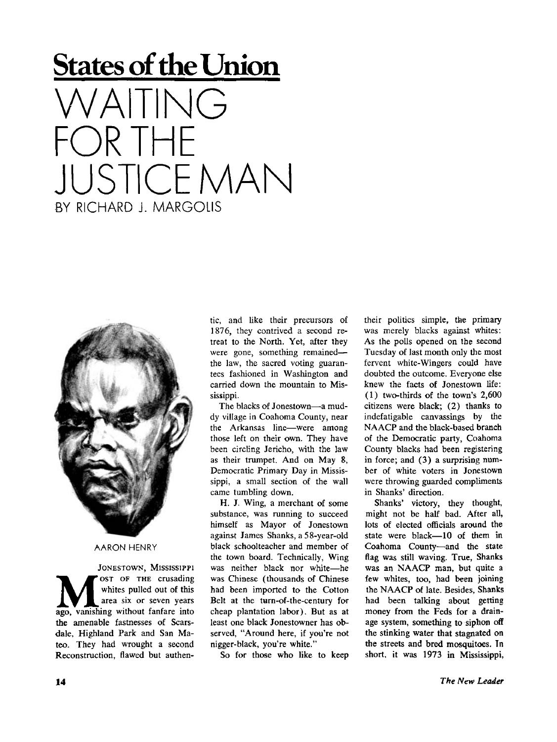## **States of the Union**   $AIIING$ OR THE **JUSTICE MAN** BY RICHARD I. MARGOIIS



## **AARO N HENRY**

JONESTOWN, MISSISSIPPI **M M SET OF THE Crusading**whites pulled out of this<br>
ago, vanishing without fanfare into ' OST OF THE crusading whites pulled out of this area six or seven years the amenable fastnesses of Scarsdale, Highland Park and San Mateo. They had wrought a second Reconstruction, flawed but authentic, and like their precursors of 1876, they contrived a second retreat to the North. Yet, after they were gone, something remained the law, the sacred voting guarantees fashioned in Washington and carried down the mountain to Mississippi.

The blacks of Jonestown—-a muddy village in Coahoma County, near the Arkansas line—were among those left on their own. They have been circling Jericho, with the law as their trumpet. And on May 8, Democratic Primary Day in Mississippi, a small section of the wall came tumbling down.

H. J. Wing, a merchant of some substance, was running to succeed himself as Mayor of Jonestown against James Shanks, a 5 8-year-old black schoolteacher and member of the town board. Technically, Wing was neither black nor white—he was Chinese (thousands of Chinese had been imported to the Cotton Belt at the turn-of-the-century for cheap plantation labor). But as at least one black Jonestowner has observed, "Around here, if you're not nigger-black, you're white."

So for those who like to keep

their politics simple, the primary was merely blacks against whites: As the polls opened on the second Tuesday of last month only the most fervent white-Wingers could have doubted the outcome. Everyone else knew the facts of Jonestown life: (1) two-thirds of the town's 2,600 citizens were black; (2) thanks to indefatigable canvassings by the NAACP and the black-based branch of the Democratic party, Coahoma County blacks had been registering in force; and (3) a surprising number of white voters in Jonestown were throwing guarded compliments in Shanks' direction.

Shanks' victory, they thought, might not be half bad. After all, lots of elected officials around the state were black—10 of them in Coahoma County—and the state flag was still waving. True, Shanks was an NAACP man, but quite a few whites, too, had been joining the NAACP of late. Besides, Shanks had been talking about getting money from the Feds for a drainage system, something to siphon off the stinking water that stagnated on the streets and bred mosquitoes. In short, it was 1973 in Mississippi,